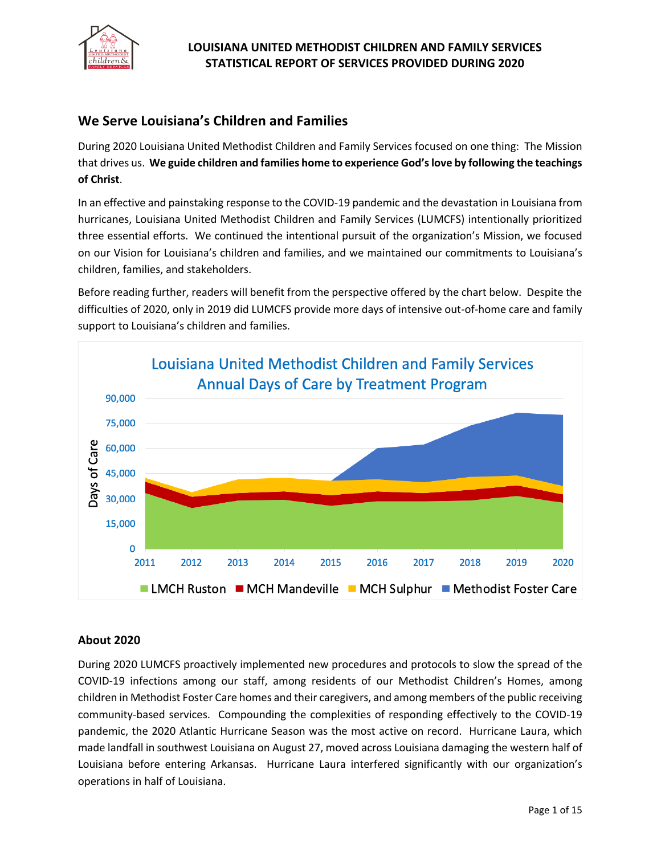

# **We Serve Louisiana's Children and Families**

During 2020 Louisiana United Methodist Children and Family Services focused on one thing: The Mission that drives us. **We guide children and families home to experience God's love by following the teachings of Christ**.

In an effective and painstaking response to the COVID-19 pandemic and the devastation in Louisiana from hurricanes, Louisiana United Methodist Children and Family Services (LUMCFS) intentionally prioritized three essential efforts. We continued the intentional pursuit of the organization's Mission, we focused on our Vision for Louisiana's children and families, and we maintained our commitments to Louisiana's children, families, and stakeholders.

Before reading further, readers will benefit from the perspective offered by the chart below. Despite the difficulties of 2020, only in 2019 did LUMCFS provide more days of intensive out-of-home care and family support to Louisiana's children and families.



### **About 2020**

During 2020 LUMCFS proactively implemented new procedures and protocols to slow the spread of the COVID-19 infections among our staff, among residents of our Methodist Children's Homes, among children in Methodist Foster Care homes and their caregivers, and among members of the public receiving community-based services. Compounding the complexities of responding effectively to the COVID-19 pandemic, the 2020 Atlantic Hurricane Season was the most active on record. Hurricane Laura, which made landfall in southwest Louisiana on August 27, moved across Louisiana damaging the western half of Louisiana before entering Arkansas. Hurricane Laura interfered significantly with our organization's operations in half of Louisiana.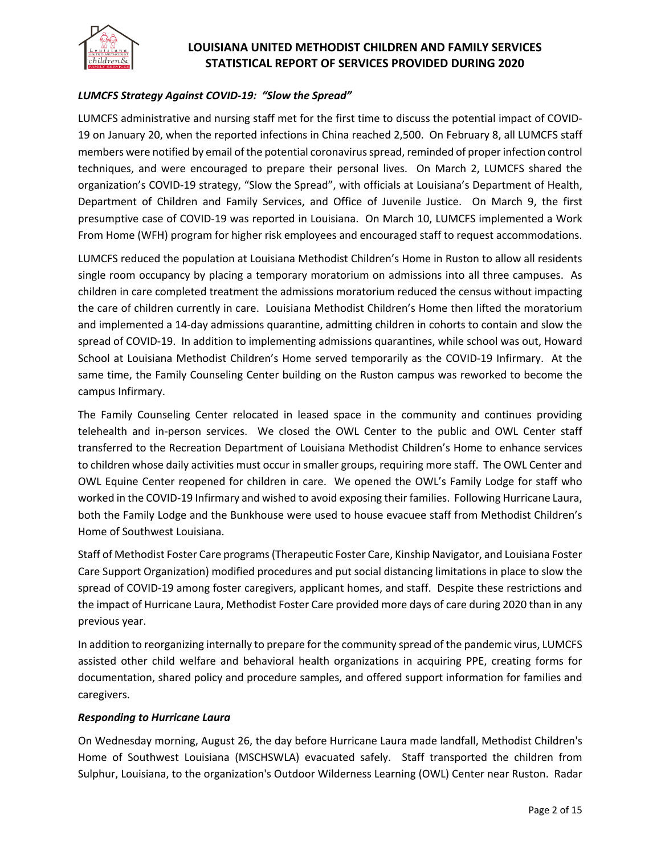

#### *LUMCFS Strategy Against COVID-19: "Slow the Spread"*

LUMCFS administrative and nursing staff met for the first time to discuss the potential impact of COVID-19 on January 20, when the reported infections in China reached 2,500. On February 8, all LUMCFS staff members were notified by email of the potential coronavirus spread, reminded of proper infection control techniques, and were encouraged to prepare their personal lives. On March 2, LUMCFS shared the organization's COVID-19 strategy, "Slow the Spread", with officials at Louisiana's Department of Health, Department of Children and Family Services, and Office of Juvenile Justice. On March 9, the first presumptive case of COVID-19 was reported in Louisiana. On March 10, LUMCFS implemented a Work From Home (WFH) program for higher risk employees and encouraged staff to request accommodations.

LUMCFS reduced the population at Louisiana Methodist Children's Home in Ruston to allow all residents single room occupancy by placing a temporary moratorium on admissions into all three campuses. As children in care completed treatment the admissions moratorium reduced the census without impacting the care of children currently in care. Louisiana Methodist Children's Home then lifted the moratorium and implemented a 14-day admissions quarantine, admitting children in cohorts to contain and slow the spread of COVID-19. In addition to implementing admissions quarantines, while school was out, Howard School at Louisiana Methodist Children's Home served temporarily as the COVID-19 Infirmary. At the same time, the Family Counseling Center building on the Ruston campus was reworked to become the campus Infirmary.

The Family Counseling Center relocated in leased space in the community and continues providing telehealth and in-person services. We closed the OWL Center to the public and OWL Center staff transferred to the Recreation Department of Louisiana Methodist Children's Home to enhance services to children whose daily activities must occur in smaller groups, requiring more staff. The OWL Center and OWL Equine Center reopened for children in care. We opened the OWL's Family Lodge for staff who worked in the COVID-19 Infirmary and wished to avoid exposing their families. Following Hurricane Laura, both the Family Lodge and the Bunkhouse were used to house evacuee staff from Methodist Children's Home of Southwest Louisiana.

Staff of Methodist Foster Care programs (Therapeutic Foster Care, Kinship Navigator, and Louisiana Foster Care Support Organization) modified procedures and put social distancing limitations in place to slow the spread of COVID-19 among foster caregivers, applicant homes, and staff. Despite these restrictions and the impact of Hurricane Laura, Methodist Foster Care provided more days of care during 2020 than in any previous year.

In addition to reorganizing internally to prepare for the community spread of the pandemic virus, LUMCFS assisted other child welfare and behavioral health organizations in acquiring PPE, creating forms for documentation, shared policy and procedure samples, and offered support information for families and caregivers.

#### *Responding to Hurricane Laura*

On Wednesday morning, August 26, the day before Hurricane Laura made landfall, Methodist Children's Home of Southwest Louisiana (MSCHSWLA) evacuated safely. Staff transported the children from Sulphur, Louisiana, to the organization's Outdoor Wilderness Learning (OWL) Center near Ruston. Radar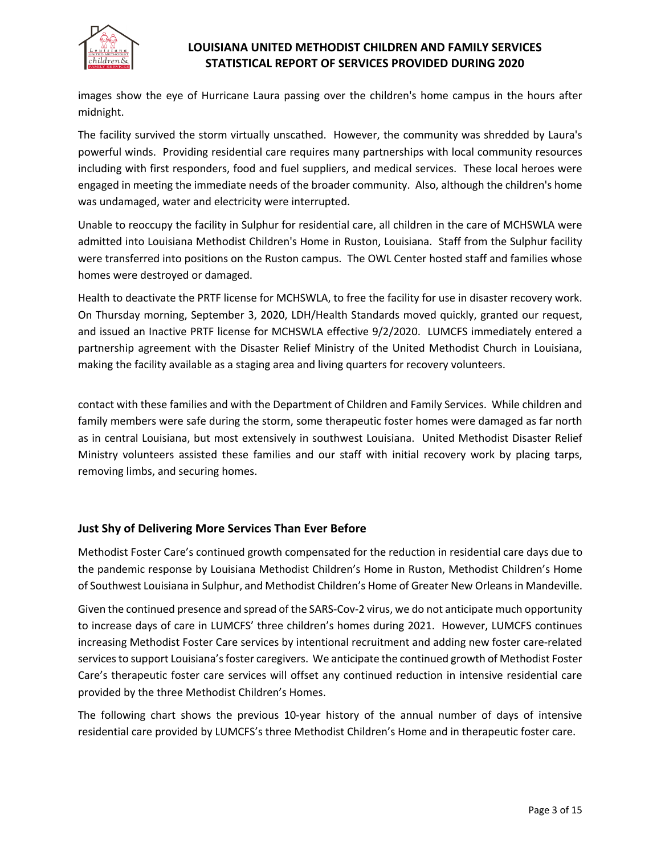

images show the eye of Hurricane Laura passing over the children's home campus in the hours after midnight.

The facility survived the storm virtually unscathed. However, the community was shredded by Laura's powerful winds. Providing residential care requires many partnerships with local community resources including with first responders, food and fuel suppliers, and medical services. These local heroes were engaged in meeting the immediate needs of the broader community. Also, although the children's home was undamaged, water and electricity were interrupted.

Unable to reoccupy the facility in Sulphur for residential care, all children in the care of MCHSWLA were admitted into Louisiana Methodist Children's Home in Ruston, Louisiana. Staff from the Sulphur facility were transferred into positions on the Ruston campus. The OWL Center hosted staff and families whose homes were destroyed or damaged.

Health to deactivate the PRTF license for MCHSWLA, to free the facility for use in disaster recovery work. On Thursday morning, September 3, 2020, LDH/Health Standards moved quickly, granted our request, and issued an Inactive PRTF license for MCHSWLA effective 9/2/2020. LUMCFS immediately entered a partnership agreement with the Disaster Relief Ministry of the United Methodist Church in Louisiana, making the facility available as a staging area and living quarters for recovery volunteers.

contact with these families and with the Department of Children and Family Services. While children and family members were safe during the storm, some therapeutic foster homes were damaged as far north as in central Louisiana, but most extensively in southwest Louisiana. United Methodist Disaster Relief Ministry volunteers assisted these families and our staff with initial recovery work by placing tarps, removing limbs, and securing homes.

### **Just Shy of Delivering More Services Than Ever Before**

Methodist Foster Care's continued growth compensated for the reduction in residential care days due to the pandemic response by Louisiana Methodist Children's Home in Ruston, Methodist Children's Home of Southwest Louisiana in Sulphur, and Methodist Children's Home of Greater New Orleans in Mandeville.

Given the continued presence and spread of the SARS-Cov-2 virus, we do not anticipate much opportunity to increase days of care in LUMCFS' three children's homes during 2021. However, LUMCFS continues increasing Methodist Foster Care services by intentional recruitment and adding new foster care-related services to support Louisiana's foster caregivers. We anticipate the continued growth of Methodist Foster Care's therapeutic foster care services will offset any continued reduction in intensive residential care provided by the three Methodist Children's Homes.

The following chart shows the previous 10-year history of the annual number of days of intensive residential care provided by LUMCFS's three Methodist Children's Home and in therapeutic foster care.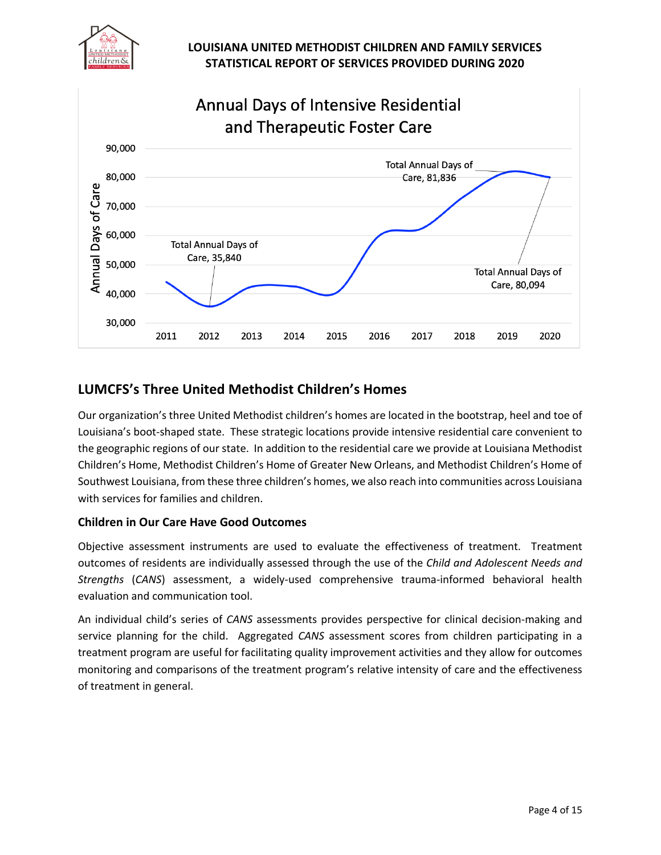



# **LUMCFS's Three United Methodist Children's Homes**

Our organization's three United Methodist children's homes are located in the bootstrap, heel and toe of Louisiana's boot-shaped state. These strategic locations provide intensive residential care convenient to the geographic regions of our state. In addition to the residential care we provide at Louisiana Methodist Children's Home, Methodist Children's Home of Greater New Orleans, and Methodist Children's Home of Southwest Louisiana, from these three children's homes, we also reach into communities across Louisiana with services for families and children.

### **Children in Our Care Have Good Outcomes**

Objective assessment instruments are used to evaluate the effectiveness of treatment. Treatment outcomes of residents are individually assessed through the use of the *Child and Adolescent Needs and Strengths* (*CANS*) assessment, a widely-used comprehensive trauma-informed behavioral health evaluation and communication tool.

An individual child's series of *CANS* assessments provides perspective for clinical decision-making and service planning for the child. Aggregated *CANS* assessment scores from children participating in a treatment program are useful for facilitating quality improvement activities and they allow for outcomes monitoring and comparisons of the treatment program's relative intensity of care and the effectiveness of treatment in general.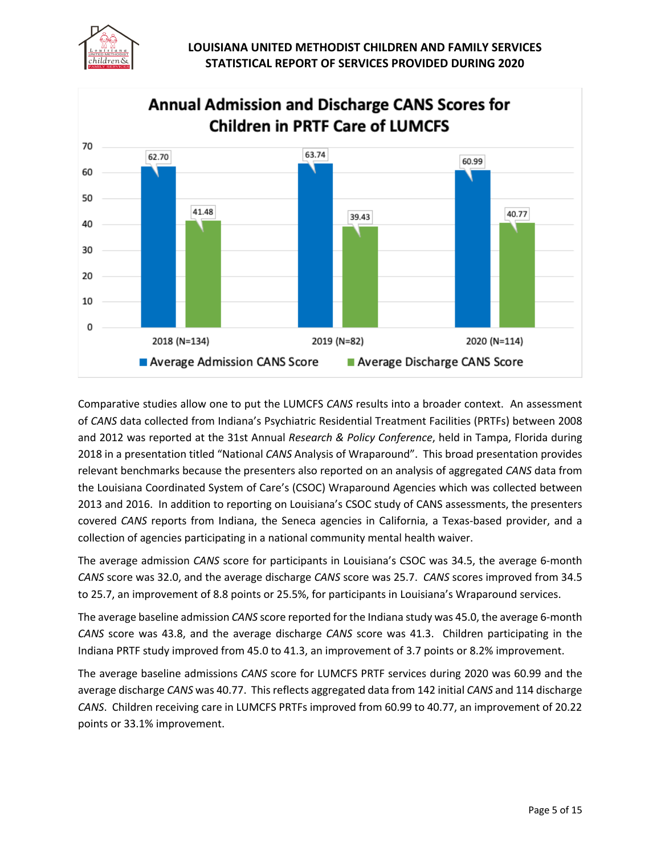



Comparative studies allow one to put the LUMCFS *CANS* results into a broader context. An assessment of *CANS* data collected from Indiana's Psychiatric Residential Treatment Facilities (PRTFs) between 2008 and 2012 was reported at the 31st Annual *Research & Policy Conference*, held in Tampa, Florida during 2018 in a presentation titled "National *CANS* Analysis of Wraparound". This broad presentation provides relevant benchmarks because the presenters also reported on an analysis of aggregated *CANS* data from the Louisiana Coordinated System of Care's (CSOC) Wraparound Agencies which was collected between 2013 and 2016. In addition to reporting on Louisiana's CSOC study of CANS assessments, the presenters covered *CANS* reports from Indiana, the Seneca agencies in California, a Texas-based provider, and a collection of agencies participating in a national community mental health waiver.

The average admission *CANS* score for participants in Louisiana's CSOC was 34.5, the average 6-month *CANS* score was 32.0, and the average discharge *CANS* score was 25.7. *CANS* scores improved from 34.5 to 25.7, an improvement of 8.8 points or 25.5%, for participants in Louisiana's Wraparound services.

The average baseline admission *CANS* score reported for the Indiana study was 45.0, the average 6-month *CANS* score was 43.8, and the average discharge *CANS* score was 41.3. Children participating in the Indiana PRTF study improved from 45.0 to 41.3, an improvement of 3.7 points or 8.2% improvement.

The average baseline admissions *CANS* score for LUMCFS PRTF services during 2020 was 60.99 and the average discharge *CANS* was 40.77. This reflects aggregated data from 142 initial *CANS* and 114 discharge *CANS*. Children receiving care in LUMCFS PRTFs improved from 60.99 to 40.77, an improvement of 20.22 points or 33.1% improvement.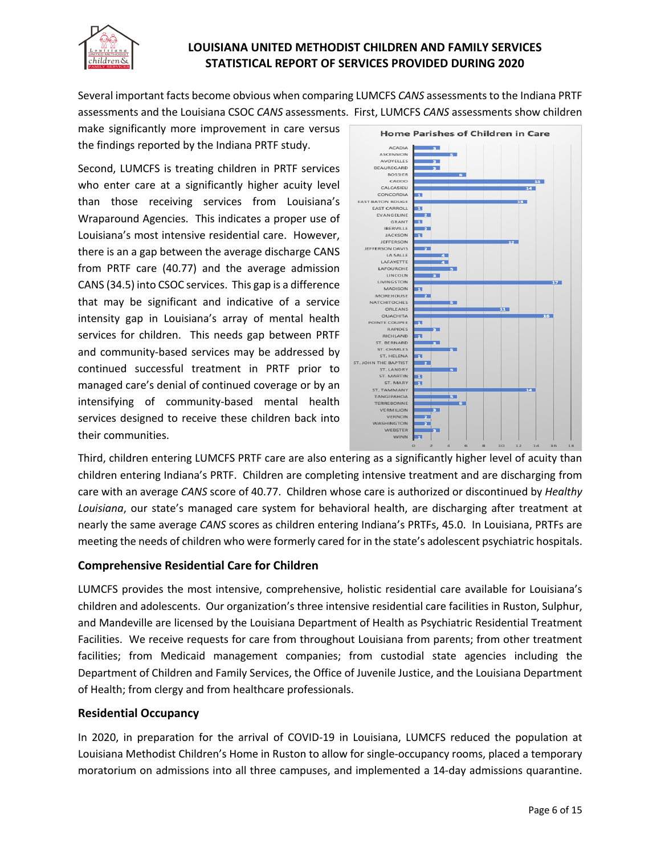

Several important facts become obvious when comparing LUMCFS *CANS* assessments to the Indiana PRTF assessments and the Louisiana CSOC *CANS* assessments. First, LUMCFS *CANS* assessments show children

make significantly more improvement in care versus the findings reported by the Indiana PRTF study.

Second, LUMCFS is treating children in PRTF services who enter care at a significantly higher acuity level than those receiving services from Louisiana's Wraparound Agencies. This indicates a proper use of Louisiana's most intensive residential care. However, there is an a gap between the average discharge CANS from PRTF care (40.77) and the average admission CANS (34.5) into CSOC services. This gap is a difference that may be significant and indicative of a service intensity gap in Louisiana's array of mental health services for children. This needs gap between PRTF and community-based services may be addressed by continued successful treatment in PRTF prior to managed care's denial of continued coverage or by an intensifying of community-based mental health services designed to receive these children back into their communities.



Third, children entering LUMCFS PRTF care are also entering as a significantly higher level of acuity than children entering Indiana's PRTF. Children are completing intensive treatment and are discharging from care with an average *CANS* score of 40.77. Children whose care is authorized or discontinued by *Healthy Louisiana*, our state's managed care system for behavioral health, are discharging after treatment at nearly the same average *CANS* scores as children entering Indiana's PRTFs, 45.0. In Louisiana, PRTFs are meeting the needs of children who were formerly cared for in the state's adolescent psychiatric hospitals.

### **Comprehensive Residential Care for Children**

LUMCFS provides the most intensive, comprehensive, holistic residential care available for Louisiana's children and adolescents. Our organization's three intensive residential care facilities in Ruston, Sulphur, and Mandeville are licensed by the Louisiana Department of Health as Psychiatric Residential Treatment Facilities. We receive requests for care from throughout Louisiana from parents; from other treatment facilities; from Medicaid management companies; from custodial state agencies including the Department of Children and Family Services, the Office of Juvenile Justice, and the Louisiana Department of Health; from clergy and from healthcare professionals.

### **Residential Occupancy**

In 2020, in preparation for the arrival of COVID-19 in Louisiana, LUMCFS reduced the population at Louisiana Methodist Children's Home in Ruston to allow for single-occupancy rooms, placed a temporary moratorium on admissions into all three campuses, and implemented a 14-day admissions quarantine.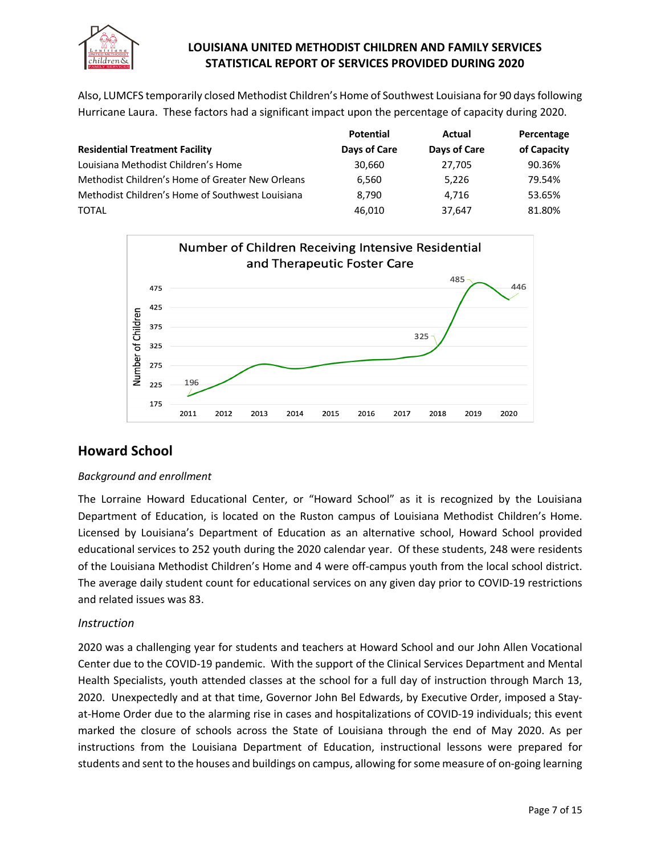

Also, LUMCFS temporarily closed Methodist Children's Home of Southwest Louisiana for 90 days following Hurricane Laura. These factors had a significant impact upon the percentage of capacity during 2020.

|                                                  | <b>Potential</b> | Actual       | Percentage  |
|--------------------------------------------------|------------------|--------------|-------------|
| <b>Residential Treatment Facility</b>            | Days of Care     | Days of Care | of Capacity |
| Louisiana Methodist Children's Home              | 30,660           | 27.705       | 90.36%      |
| Methodist Children's Home of Greater New Orleans | 6,560            | 5.226        | 79.54%      |
| Methodist Children's Home of Southwest Louisiana | 8.790            | 4.716        | 53.65%      |
| <b>TOTAL</b>                                     | 46.010           | 37.647       | 81.80%      |



# **Howard School**

### *Background and enrollment*

The Lorraine Howard Educational Center, or "Howard School" as it is recognized by the Louisiana Department of Education, is located on the Ruston campus of Louisiana Methodist Children's Home. Licensed by Louisiana's Department of Education as an alternative school, Howard School provided educational services to 252 youth during the 2020 calendar year. Of these students, 248 were residents of the Louisiana Methodist Children's Home and 4 were off-campus youth from the local school district. The average daily student count for educational services on any given day prior to COVID-19 restrictions and related issues was 83.

### *Instruction*

2020 was a challenging year for students and teachers at Howard School and our John Allen Vocational Center due to the COVID-19 pandemic. With the support of the Clinical Services Department and Mental Health Specialists, youth attended classes at the school for a full day of instruction through March 13, 2020. Unexpectedly and at that time, Governor John Bel Edwards, by Executive Order, imposed a Stayat-Home Order due to the alarming rise in cases and hospitalizations of COVID-19 individuals; this event marked the closure of schools across the State of Louisiana through the end of May 2020. As per instructions from the Louisiana Department of Education, instructional lessons were prepared for students and sent to the houses and buildings on campus, allowing for some measure of on-going learning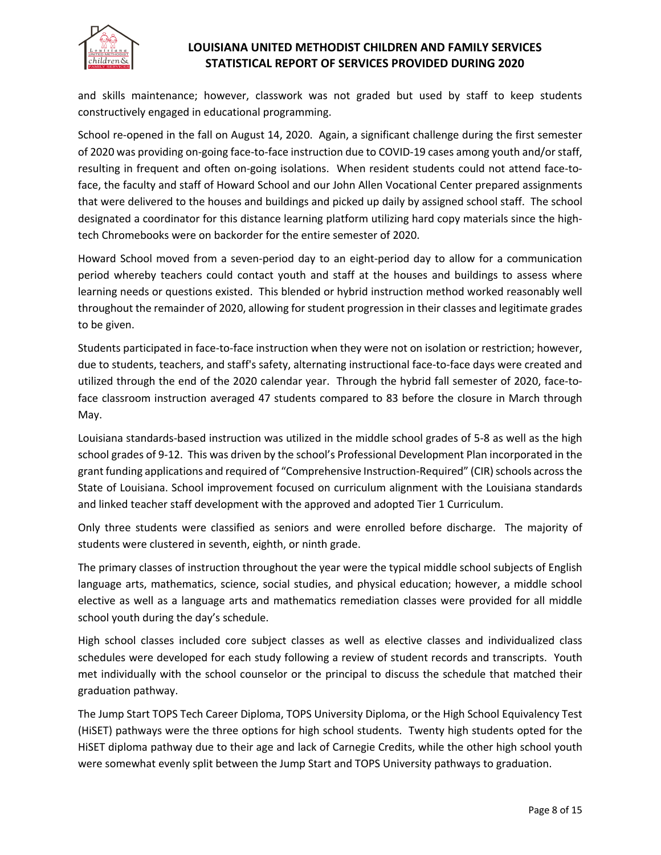

and skills maintenance; however, classwork was not graded but used by staff to keep students constructively engaged in educational programming.

School re-opened in the fall on August 14, 2020. Again, a significant challenge during the first semester of 2020 was providing on-going face-to-face instruction due to COVID-19 cases among youth and/or staff, resulting in frequent and often on-going isolations. When resident students could not attend face-toface, the faculty and staff of Howard School and our John Allen Vocational Center prepared assignments that were delivered to the houses and buildings and picked up daily by assigned school staff. The school designated a coordinator for this distance learning platform utilizing hard copy materials since the hightech Chromebooks were on backorder for the entire semester of 2020.

Howard School moved from a seven-period day to an eight-period day to allow for a communication period whereby teachers could contact youth and staff at the houses and buildings to assess where learning needs or questions existed. This blended or hybrid instruction method worked reasonably well throughout the remainder of 2020, allowing for student progression in their classes and legitimate grades to be given.

Students participated in face-to-face instruction when they were not on isolation or restriction; however, due to students, teachers, and staff's safety, alternating instructional face-to-face days were created and utilized through the end of the 2020 calendar year. Through the hybrid fall semester of 2020, face-toface classroom instruction averaged 47 students compared to 83 before the closure in March through May.

Louisiana standards-based instruction was utilized in the middle school grades of 5-8 as well as the high school grades of 9-12. This was driven by the school's Professional Development Plan incorporated in the grant funding applications and required of "Comprehensive Instruction-Required" (CIR) schools across the State of Louisiana. School improvement focused on curriculum alignment with the Louisiana standards and linked teacher staff development with the approved and adopted Tier 1 Curriculum.

Only three students were classified as seniors and were enrolled before discharge. The majority of students were clustered in seventh, eighth, or ninth grade.

The primary classes of instruction throughout the year were the typical middle school subjects of English language arts, mathematics, science, social studies, and physical education; however, a middle school elective as well as a language arts and mathematics remediation classes were provided for all middle school youth during the day's schedule.

High school classes included core subject classes as well as elective classes and individualized class schedules were developed for each study following a review of student records and transcripts. Youth met individually with the school counselor or the principal to discuss the schedule that matched their graduation pathway.

The Jump Start TOPS Tech Career Diploma, TOPS University Diploma, or the High School Equivalency Test (HiSET) pathways were the three options for high school students. Twenty high students opted for the HiSET diploma pathway due to their age and lack of Carnegie Credits, while the other high school youth were somewhat evenly split between the Jump Start and TOPS University pathways to graduation.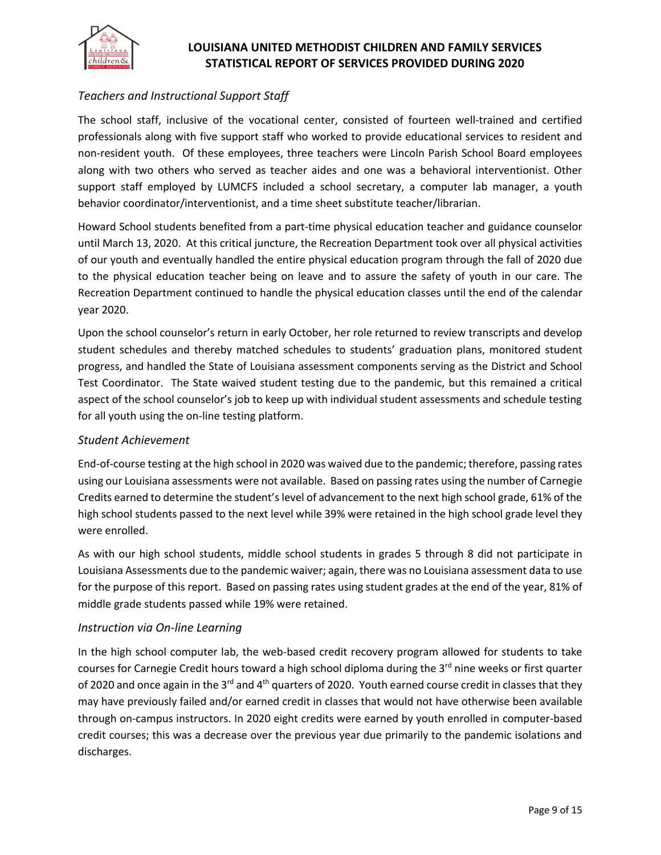

# *Teachers and Instructional Support Staff*

The school staff, inclusive of the vocational center, consisted of fourteen well-trained and certified professionals along with five support staff who worked to provide educational services to resident and non-resident youth. Of these employees, three teachers were Lincoln Parish School Board employees along with two others who served as teacher aides and one was a behavioral interventionist. Other support staff employed by LUMCFS included a school secretary, a computer lab manager, a youth behavior coordinator/interventionist, and a time sheet substitute teacher/librarian.

Howard School students benefited from a part-time physical education teacher and guidance counselor until March 13, 2020. At this critical juncture, the Recreation Department took over all physical activities of our youth and eventually handled the entire physical education program through the fall of 2020 due to the physical education teacher being on leave and to assure the safety of youth in our care. The Recreation Department continued to handle the physical education classes until the end of the calendar year 2020.

Upon the school counselor's return in early October, her role returned to review transcripts and develop student schedules and thereby matched schedules to students' graduation plans, monitored student progress, and handled the State of Louisiana assessment components serving as the District and School Test Coordinator. The State waived student testing due to the pandemic, but this remained a critical aspect of the school counselor's job to keep up with individual student assessments and schedule testing for all youth using the on-line testing platform.

#### *Student Achievement*

End-of-course testing at the high school in 2020 was waived due to the pandemic; therefore, passing rates using our Louisiana assessments were not available. Based on passing rates using the number of Carnegie Credits earned to determine the student's level of advancement to the next high school grade, 61% of the high school students passed to the next level while 39% were retained in the high school grade level they were enrolled.

As with our high school students, middle school students in grades 5 through 8 did not participate in Louisiana Assessments due to the pandemic waiver; again, there was no Louisiana assessment data to use for the purpose of this report. Based on passing rates using student grades at the end of the year, 81% of middle grade students passed while 19% were retained.

#### *Instruction via On-line Learning*

In the high school computer lab, the web-based credit recovery program allowed for students to take courses for Carnegie Credit hours toward a high school diploma during the 3<sup>rd</sup> nine weeks or first quarter of 2020 and once again in the 3<sup>rd</sup> and 4<sup>th</sup> quarters of 2020. Youth earned course credit in classes that they may have previously failed and/or earned credit in classes that would not have otherwise been available through on-campus instructors. In 2020 eight credits were earned by youth enrolled in computer-based credit courses; this was a decrease over the previous year due primarily to the pandemic isolations and discharges.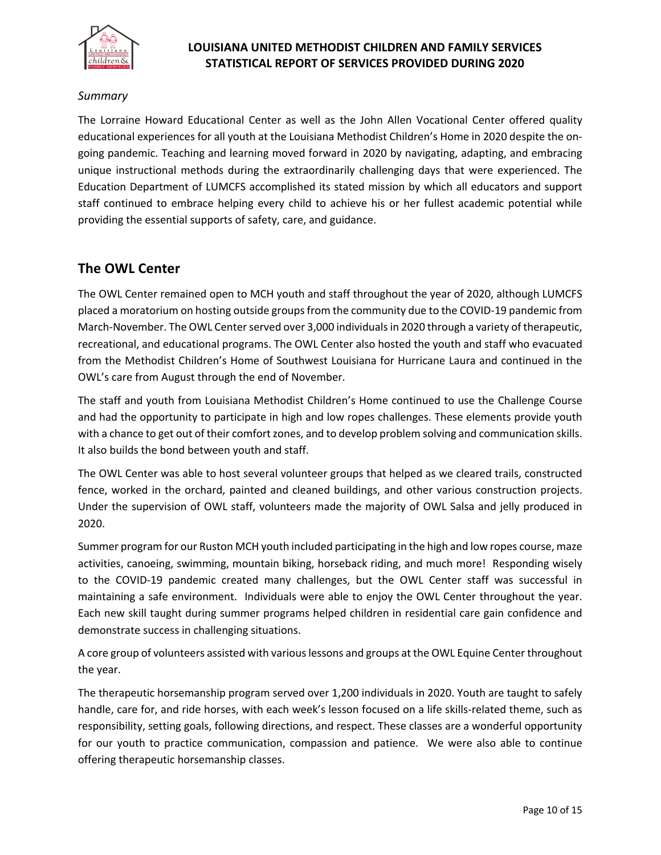

### *Summary*

The Lorraine Howard Educational Center as well as the John Allen Vocational Center offered quality educational experiences for all youth at the Louisiana Methodist Children's Home in 2020 despite the ongoing pandemic. Teaching and learning moved forward in 2020 by navigating, adapting, and embracing unique instructional methods during the extraordinarily challenging days that were experienced. The Education Department of LUMCFS accomplished its stated mission by which all educators and support staff continued to embrace helping every child to achieve his or her fullest academic potential while providing the essential supports of safety, care, and guidance.

# **The OWL Center**

The OWL Center remained open to MCH youth and staff throughout the year of 2020, although LUMCFS placed a moratorium on hosting outside groups from the community due to the COVID-19 pandemic from March-November. The OWL Center served over 3,000 individuals in 2020 through a variety of therapeutic, recreational, and educational programs. The OWL Center also hosted the youth and staff who evacuated from the Methodist Children's Home of Southwest Louisiana for Hurricane Laura and continued in the OWL's care from August through the end of November.

The staff and youth from Louisiana Methodist Children's Home continued to use the Challenge Course and had the opportunity to participate in high and low ropes challenges. These elements provide youth with a chance to get out of their comfort zones, and to develop problem solving and communication skills. It also builds the bond between youth and staff.

The OWL Center was able to host several volunteer groups that helped as we cleared trails, constructed fence, worked in the orchard, painted and cleaned buildings, and other various construction projects. Under the supervision of OWL staff, volunteers made the majority of OWL Salsa and jelly produced in 2020.

Summer program for our Ruston MCH youth included participating in the high and low ropes course, maze activities, canoeing, swimming, mountain biking, horseback riding, and much more! Responding wisely to the COVID-19 pandemic created many challenges, but the OWL Center staff was successful in maintaining a safe environment. Individuals were able to enjoy the OWL Center throughout the year. Each new skill taught during summer programs helped children in residential care gain confidence and demonstrate success in challenging situations.

A core group of volunteers assisted with various lessons and groups at the OWL Equine Center throughout the year.

The therapeutic horsemanship program served over 1,200 individuals in 2020. Youth are taught to safely handle, care for, and ride horses, with each week's lesson focused on a life skills-related theme, such as responsibility, setting goals, following directions, and respect. These classes are a wonderful opportunity for our youth to practice communication, compassion and patience. We were also able to continue offering therapeutic horsemanship classes.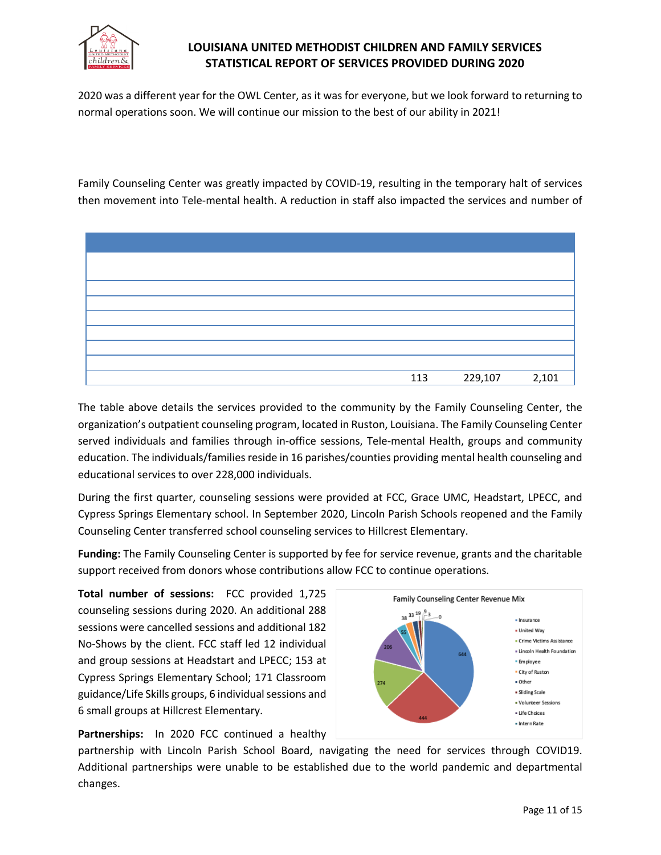

2020 was a different year for the OWL Center, as it was for everyone, but we look forward to returning to normal operations soon. We will continue our mission to the best of our ability in 2021!

Family Counseling Center was greatly impacted by COVID-19, resulting in the temporary halt of services then movement into Tele-mental health. A reduction in staff also impacted the services and number of



The table above details the services provided to the community by the Family Counseling Center, the organization's outpatient counseling program, located in Ruston, Louisiana. The Family Counseling Center served individuals and families through in-office sessions, Tele-mental Health, groups and community education. The individuals/families reside in 16 parishes/counties providing mental health counseling and educational services to over 228,000 individuals.

During the first quarter, counseling sessions were provided at FCC, Grace UMC, Headstart, LPECC, and Cypress Springs Elementary school. In September 2020, Lincoln Parish Schools reopened and the Family Counseling Center transferred school counseling services to Hillcrest Elementary.

**Funding:** The Family Counseling Center is supported by fee for service revenue, grants and the charitable support received from donors whose contributions allow FCC to continue operations.

**Total number of sessions:** FCC provided 1,725 counseling sessions during 2020. An additional 288 sessions were cancelled sessions and additional 182 No-Shows by the client. FCC staff led 12 individual and group sessions at Headstart and LPECC; 153 at Cypress Springs Elementary School; 171 Classroom guidance/Life Skills groups, 6 individual sessions and 6 small groups at Hillcrest Elementary.



Family Counseling Center Revenue Mix

**Partnerships:** In 2020 FCC continued a healthy

partnership with Lincoln Parish School Board, navigating the need for services through COVID19. Additional partnerships were unable to be established due to the world pandemic and departmental changes.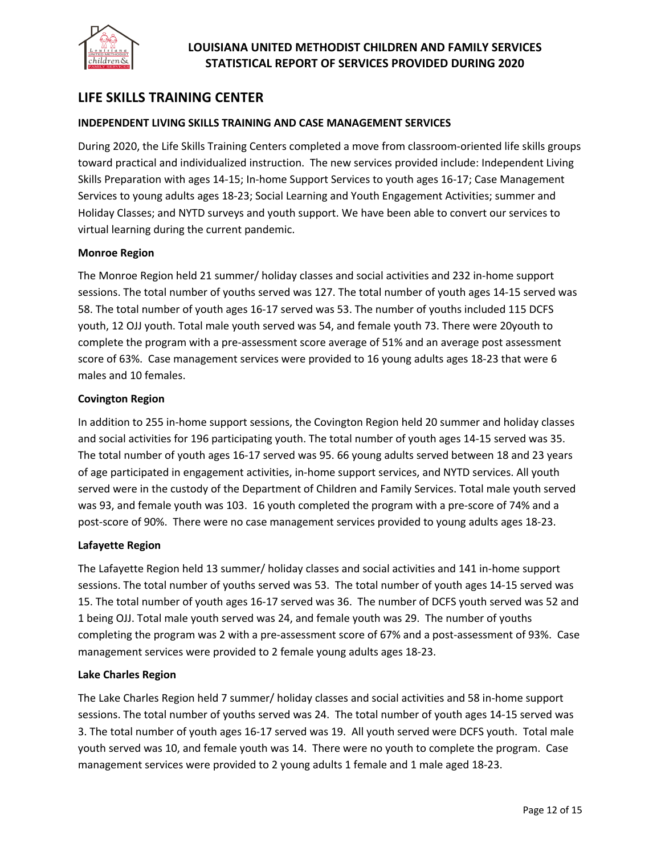

# **LIFE SKILLS TRAINING CENTER**

#### **INDEPENDENT LIVING SKILLS TRAINING AND CASE MANAGEMENT SERVICES**

During 2020, the Life Skills Training Centers completed a move from classroom-oriented life skills groups toward practical and individualized instruction. The new services provided include: Independent Living Skills Preparation with ages 14-15; In-home Support Services to youth ages 16-17; Case Management Services to young adults ages 18-23; Social Learning and Youth Engagement Activities; summer and Holiday Classes; and NYTD surveys and youth support. We have been able to convert our services to virtual learning during the current pandemic.

#### **Monroe Region**

The Monroe Region held 21 summer/ holiday classes and social activities and 232 in-home support sessions. The total number of youths served was 127. The total number of youth ages 14-15 served was 58. The total number of youth ages 16-17 served was 53. The number of youths included 115 DCFS youth, 12 OJJ youth. Total male youth served was 54, and female youth 73. There were 20youth to complete the program with a pre-assessment score average of 51% and an average post assessment score of 63%. Case management services were provided to 16 young adults ages 18-23 that were 6 males and 10 females.

#### **Covington Region**

In addition to 255 in-home support sessions, the Covington Region held 20 summer and holiday classes and social activities for 196 participating youth. The total number of youth ages 14-15 served was 35. The total number of youth ages 16-17 served was 95. 66 young adults served between 18 and 23 years of age participated in engagement activities, in-home support services, and NYTD services. All youth served were in the custody of the Department of Children and Family Services. Total male youth served was 93, and female youth was 103. 16 youth completed the program with a pre-score of 74% and a post-score of 90%. There were no case management services provided to young adults ages 18-23.

#### **Lafayette Region**

The Lafayette Region held 13 summer/ holiday classes and social activities and 141 in-home support sessions. The total number of youths served was 53. The total number of youth ages 14-15 served was 15. The total number of youth ages 16-17 served was 36. The number of DCFS youth served was 52 and 1 being OJJ. Total male youth served was 24, and female youth was 29. The number of youths completing the program was 2 with a pre-assessment score of 67% and a post-assessment of 93%. Case management services were provided to 2 female young adults ages 18-23.

#### **Lake Charles Region**

The Lake Charles Region held 7 summer/ holiday classes and social activities and 58 in-home support sessions. The total number of youths served was 24. The total number of youth ages 14-15 served was 3. The total number of youth ages 16-17 served was 19. All youth served were DCFS youth. Total male youth served was 10, and female youth was 14. There were no youth to complete the program. Case management services were provided to 2 young adults 1 female and 1 male aged 18-23.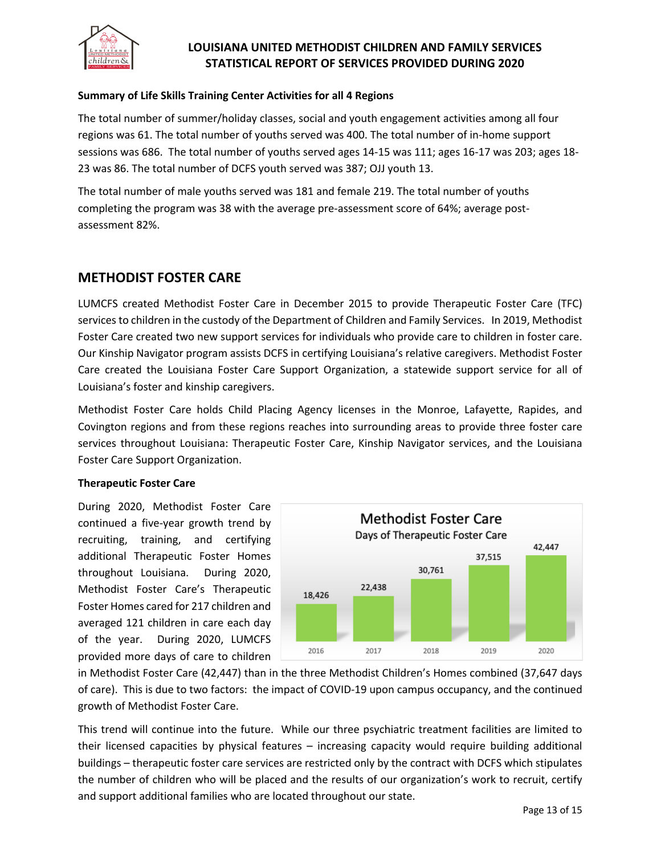

#### **Summary of Life Skills Training Center Activities for all 4 Regions**

The total number of summer/holiday classes, social and youth engagement activities among all four regions was 61. The total number of youths served was 400. The total number of in-home support sessions was 686. The total number of youths served ages 14-15 was 111; ages 16-17 was 203; ages 18- 23 was 86. The total number of DCFS youth served was 387; OJJ youth 13.

The total number of male youths served was 181 and female 219. The total number of youths completing the program was 38 with the average pre-assessment score of 64%; average postassessment 82%.

# **METHODIST FOSTER CARE**

LUMCFS created Methodist Foster Care in December 2015 to provide Therapeutic Foster Care (TFC) services to children in the custody of the Department of Children and Family Services. In 2019, Methodist Foster Care created two new support services for individuals who provide care to children in foster care. Our Kinship Navigator program assists DCFS in certifying Louisiana's relative caregivers. Methodist Foster Care created the Louisiana Foster Care Support Organization, a statewide support service for all of Louisiana's foster and kinship caregivers.

Methodist Foster Care holds Child Placing Agency licenses in the Monroe, Lafayette, Rapides, and Covington regions and from these regions reaches into surrounding areas to provide three foster care services throughout Louisiana: Therapeutic Foster Care, Kinship Navigator services, and the Louisiana Foster Care Support Organization.

#### **Therapeutic Foster Care**

During 2020, Methodist Foster Care continued a five-year growth trend by recruiting, training, and certifying additional Therapeutic Foster Homes throughout Louisiana. During 2020, Methodist Foster Care's Therapeutic Foster Homes cared for 217 children and averaged 121 children in care each day of the year. During 2020, LUMCFS provided more days of care to children



in Methodist Foster Care (42,447) than in the three Methodist Children's Homes combined (37,647 days of care). This is due to two factors: the impact of COVID-19 upon campus occupancy, and the continued growth of Methodist Foster Care.

This trend will continue into the future. While our three psychiatric treatment facilities are limited to their licensed capacities by physical features – increasing capacity would require building additional buildings – therapeutic foster care services are restricted only by the contract with DCFS which stipulates the number of children who will be placed and the results of our organization's work to recruit, certify and support additional families who are located throughout our state.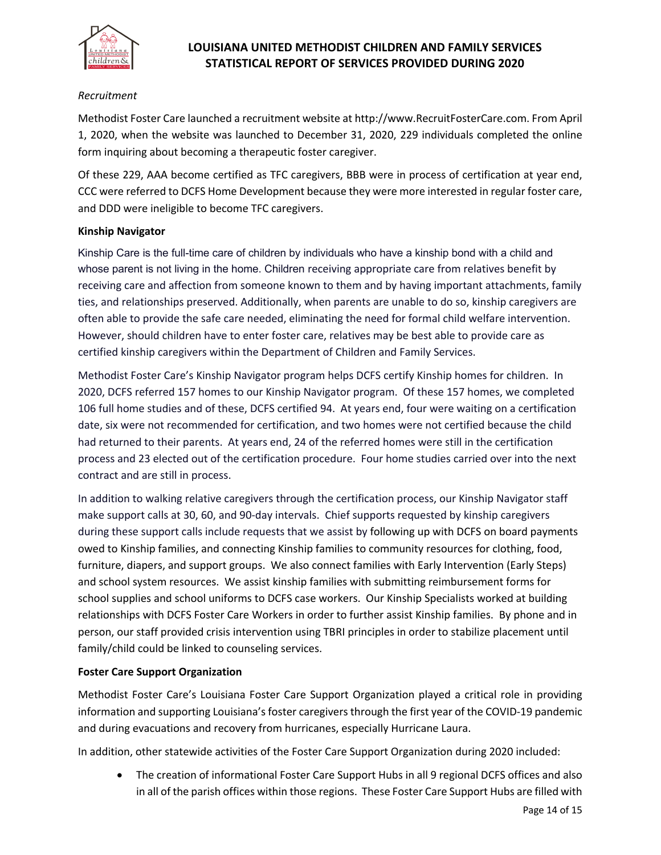

#### *Recruitment*

Methodist Foster Care launched a recruitment website at http://www.RecruitFosterCare.com. From April 1, 2020, when the website was launched to December 31, 2020, 229 individuals completed the online form inquiring about becoming a therapeutic foster caregiver.

Of these 229, AAA become certified as TFC caregivers, BBB were in process of certification at year end, CCC were referred to DCFS Home Development because they were more interested in regular foster care, and DDD were ineligible to become TFC caregivers.

#### **Kinship Navigator**

Kinship Care is the full-time care of children by individuals who have a kinship bond with a child and whose parent is not living in the home. Children receiving appropriate care from relatives benefit by receiving care and affection from someone known to them and by having important attachments, family ties, and relationships preserved. Additionally, when parents are unable to do so, kinship caregivers are often able to provide the safe care needed, eliminating the need for formal child welfare intervention. However, should children have to enter foster care, relatives may be best able to provide care as certified kinship caregivers within the Department of Children and Family Services.

Methodist Foster Care's Kinship Navigator program helps DCFS certify Kinship homes for children. In 2020, DCFS referred 157 homes to our Kinship Navigator program. Of these 157 homes, we completed 106 full home studies and of these, DCFS certified 94. At years end, four were waiting on a certification date, six were not recommended for certification, and two homes were not certified because the child had returned to their parents. At years end, 24 of the referred homes were still in the certification process and 23 elected out of the certification procedure. Four home studies carried over into the next contract and are still in process.

In addition to walking relative caregivers through the certification process, our Kinship Navigator staff make support calls at 30, 60, and 90-day intervals. Chief supports requested by kinship caregivers during these support calls include requests that we assist by following up with DCFS on board payments owed to Kinship families, and connecting Kinship families to community resources for clothing, food, furniture, diapers, and support groups. We also connect families with Early Intervention (Early Steps) and school system resources. We assist kinship families with submitting reimbursement forms for school supplies and school uniforms to DCFS case workers. Our Kinship Specialists worked at building relationships with DCFS Foster Care Workers in order to further assist Kinship families. By phone and in person, our staff provided crisis intervention using TBRI principles in order to stabilize placement until family/child could be linked to counseling services.

#### **Foster Care Support Organization**

Methodist Foster Care's Louisiana Foster Care Support Organization played a critical role in providing information and supporting Louisiana's foster caregivers through the first year of the COVID-19 pandemic and during evacuations and recovery from hurricanes, especially Hurricane Laura.

In addition, other statewide activities of the Foster Care Support Organization during 2020 included:

• The creation of informational Foster Care Support Hubs in all 9 regional DCFS offices and also in all of the parish offices within those regions. These Foster Care Support Hubs are filled with